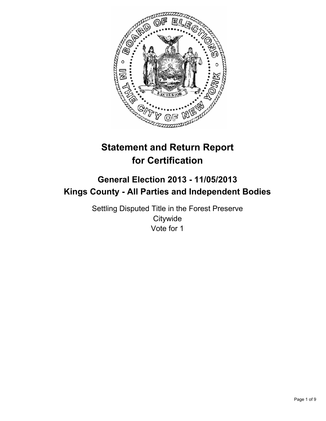

# **Statement and Return Report for Certification**

## **General Election 2013 - 11/05/2013 Kings County - All Parties and Independent Bodies**

Settling Disputed Title in the Forest Preserve **Citywide** Vote for 1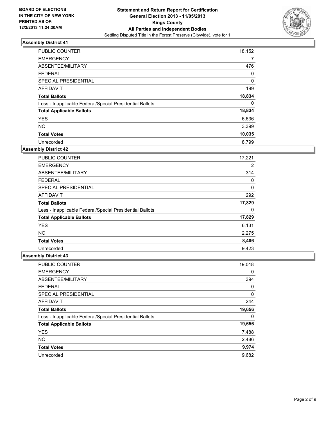

| <b>PUBLIC COUNTER</b>                                    | 18,152   |
|----------------------------------------------------------|----------|
| <b>EMERGENCY</b>                                         | 7        |
| ABSENTEE/MILITARY                                        | 476      |
| <b>FEDERAL</b>                                           | 0        |
| SPECIAL PRESIDENTIAL                                     | $\Omega$ |
| <b>AFFIDAVIT</b>                                         | 199      |
| <b>Total Ballots</b>                                     | 18,834   |
| Less - Inapplicable Federal/Special Presidential Ballots | 0        |
| <b>Total Applicable Ballots</b>                          | 18,834   |
| <b>YES</b>                                               | 6,636    |
| <b>NO</b>                                                | 3,399    |
| <b>Total Votes</b>                                       | 10,035   |
| Unrecorded                                               | 8.799    |

### **Assembly District 42**

| PUBLIC COUNTER                                           | 17,221 |
|----------------------------------------------------------|--------|
| <b>EMERGENCY</b>                                         | 2      |
| ABSENTEE/MILITARY                                        | 314    |
| <b>FEDERAL</b>                                           | 0      |
| <b>SPECIAL PRESIDENTIAL</b>                              | 0      |
| AFFIDAVIT                                                | 292    |
| <b>Total Ballots</b>                                     | 17,829 |
| Less - Inapplicable Federal/Special Presidential Ballots | 0      |
| <b>Total Applicable Ballots</b>                          | 17,829 |
| <b>YES</b>                                               | 6,131  |
| <b>NO</b>                                                | 2,275  |
| <b>Total Votes</b>                                       | 8,406  |
| Unrecorded                                               | 9.423  |

| PUBLIC COUNTER                                           | 19,018   |
|----------------------------------------------------------|----------|
| <b>EMERGENCY</b>                                         | 0        |
| ABSENTEE/MILITARY                                        | 394      |
| <b>FEDERAL</b>                                           | $\Omega$ |
| SPECIAL PRESIDENTIAL                                     | 0        |
| <b>AFFIDAVIT</b>                                         | 244      |
| <b>Total Ballots</b>                                     | 19,656   |
| Less - Inapplicable Federal/Special Presidential Ballots | 0        |
| <b>Total Applicable Ballots</b>                          | 19,656   |
| <b>YES</b>                                               | 7,488    |
| <b>NO</b>                                                | 2,486    |
| <b>Total Votes</b>                                       | 9,974    |
| Unrecorded                                               | 9,682    |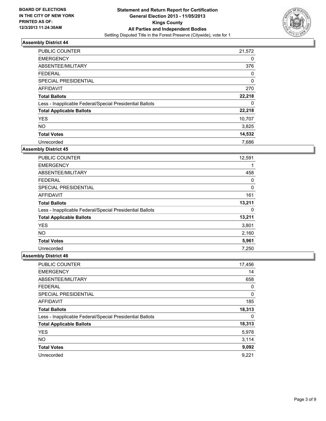

| PUBLIC COUNTER                                           | 21,572 |
|----------------------------------------------------------|--------|
| <b>EMERGENCY</b>                                         | 0      |
| ABSENTEE/MILITARY                                        | 376    |
| <b>FEDERAL</b>                                           | 0      |
| SPECIAL PRESIDENTIAL                                     | 0      |
| AFFIDAVIT                                                | 270    |
| <b>Total Ballots</b>                                     | 22,218 |
| Less - Inapplicable Federal/Special Presidential Ballots | 0      |
| <b>Total Applicable Ballots</b>                          | 22,218 |
| <b>YES</b>                                               | 10,707 |
| <b>NO</b>                                                | 3,825  |
| <b>Total Votes</b>                                       | 14,532 |
| Unrecorded                                               | 7,686  |

### **Assembly District 45**

| <b>PUBLIC COUNTER</b>                                    | 12,591 |
|----------------------------------------------------------|--------|
| <b>EMERGENCY</b>                                         |        |
| ABSENTEE/MILITARY                                        | 458    |
| <b>FEDERAL</b>                                           | 0      |
| <b>SPECIAL PRESIDENTIAL</b>                              | 0      |
| AFFIDAVIT                                                | 161    |
| <b>Total Ballots</b>                                     | 13,211 |
| Less - Inapplicable Federal/Special Presidential Ballots | 0      |
| <b>Total Applicable Ballots</b>                          | 13,211 |
| <b>YES</b>                                               | 3,801  |
| <b>NO</b>                                                | 2,160  |
| <b>Total Votes</b>                                       | 5,961  |
| Unrecorded                                               | 7,250  |

| <b>PUBLIC COUNTER</b>                                    | 17,456 |
|----------------------------------------------------------|--------|
| <b>EMERGENCY</b>                                         | 14     |
| ABSENTEE/MILITARY                                        | 658    |
| <b>FEDERAL</b>                                           | 0      |
| SPECIAL PRESIDENTIAL                                     | 0      |
| <b>AFFIDAVIT</b>                                         | 185    |
| <b>Total Ballots</b>                                     | 18,313 |
| Less - Inapplicable Federal/Special Presidential Ballots | 0      |
| <b>Total Applicable Ballots</b>                          | 18,313 |
| <b>YES</b>                                               | 5,978  |
| <b>NO</b>                                                | 3,114  |
| <b>Total Votes</b>                                       | 9,092  |
| Unrecorded                                               | 9,221  |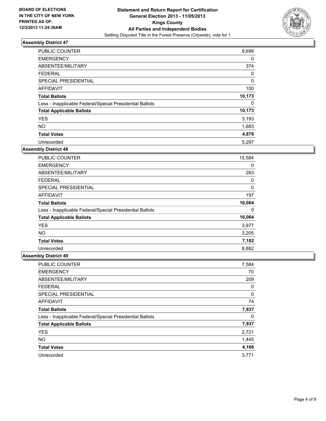

| <b>PUBLIC COUNTER</b>                                    | 9,699  |
|----------------------------------------------------------|--------|
| <b>EMERGENCY</b>                                         | 0      |
| ABSENTEE/MILITARY                                        | 374    |
| <b>FEDERAL</b>                                           | 0      |
| SPECIAL PRESIDENTIAL                                     | 0      |
| <b>AFFIDAVIT</b>                                         | 100    |
| <b>Total Ballots</b>                                     | 10,173 |
| Less - Inapplicable Federal/Special Presidential Ballots | 0      |
| <b>Total Applicable Ballots</b>                          | 10,173 |
| <b>YES</b>                                               | 3,193  |
| <b>NO</b>                                                | 1,683  |
| <b>Total Votes</b>                                       | 4,876  |
| Unrecorded                                               | 5,297  |

### **Assembly District 48**

| PUBLIC COUNTER                                           | 15,584 |
|----------------------------------------------------------|--------|
| <b>EMERGENCY</b>                                         | 0      |
| ABSENTEE/MILITARY                                        | 283    |
| <b>FEDERAL</b>                                           | 0      |
| <b>SPECIAL PRESIDENTIAL</b>                              | 0      |
| AFFIDAVIT                                                | 197    |
| <b>Total Ballots</b>                                     | 16,064 |
| Less - Inapplicable Federal/Special Presidential Ballots | 0      |
| <b>Total Applicable Ballots</b>                          | 16,064 |
| <b>YES</b>                                               | 3,977  |
| <b>NO</b>                                                | 3,205  |
| <b>Total Votes</b>                                       | 7,182  |
| Unrecorded                                               | 8,882  |

| PUBLIC COUNTER                                           | 7,584 |
|----------------------------------------------------------|-------|
| <b>EMERGENCY</b>                                         | 70    |
| ABSENTEE/MILITARY                                        | 209   |
| <b>FEDERAL</b>                                           | 0     |
| SPECIAL PRESIDENTIAL                                     | 0     |
| <b>AFFIDAVIT</b>                                         | 74    |
| <b>Total Ballots</b>                                     | 7,937 |
| Less - Inapplicable Federal/Special Presidential Ballots | 0     |
| <b>Total Applicable Ballots</b>                          | 7,937 |
| <b>YES</b>                                               | 2,721 |
| <b>NO</b>                                                | 1,445 |
| <b>Total Votes</b>                                       | 4,166 |
| Unrecorded                                               | 3,771 |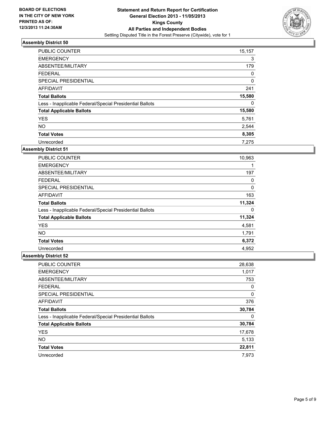

| <b>PUBLIC COUNTER</b>                                    | 15,157 |
|----------------------------------------------------------|--------|
| <b>EMERGENCY</b>                                         | 3      |
| ABSENTEE/MILITARY                                        | 179    |
| <b>FEDERAL</b>                                           | 0      |
| SPECIAL PRESIDENTIAL                                     | 0      |
| <b>AFFIDAVIT</b>                                         | 241    |
| <b>Total Ballots</b>                                     | 15,580 |
| Less - Inapplicable Federal/Special Presidential Ballots | 0      |
| <b>Total Applicable Ballots</b>                          | 15,580 |
| <b>YES</b>                                               | 5,761  |
| <b>NO</b>                                                | 2,544  |
| <b>Total Votes</b>                                       | 8,305  |
| Unrecorded                                               | 7.275  |

### **Assembly District 51**

| PUBLIC COUNTER                                           | 10,963 |
|----------------------------------------------------------|--------|
| <b>EMERGENCY</b>                                         |        |
| ABSENTEE/MILITARY                                        | 197    |
| <b>FEDERAL</b>                                           | 0      |
| <b>SPECIAL PRESIDENTIAL</b>                              | 0      |
| AFFIDAVIT                                                | 163    |
| <b>Total Ballots</b>                                     | 11,324 |
| Less - Inapplicable Federal/Special Presidential Ballots | 0      |
| <b>Total Applicable Ballots</b>                          | 11,324 |
| <b>YES</b>                                               | 4,581  |
| <b>NO</b>                                                | 1,791  |
| <b>Total Votes</b>                                       | 6,372  |
| Unrecorded                                               | 4,952  |

| <b>PUBLIC COUNTER</b>                                    | 28,638 |
|----------------------------------------------------------|--------|
| <b>EMERGENCY</b>                                         | 1,017  |
| ABSENTEE/MILITARY                                        | 753    |
| <b>FEDERAL</b>                                           | 0      |
| SPECIAL PRESIDENTIAL                                     | 0      |
| <b>AFFIDAVIT</b>                                         | 376    |
| <b>Total Ballots</b>                                     | 30,784 |
| Less - Inapplicable Federal/Special Presidential Ballots | 0      |
| <b>Total Applicable Ballots</b>                          | 30,784 |
| <b>YES</b>                                               | 17,678 |
| <b>NO</b>                                                | 5,133  |
| <b>Total Votes</b>                                       | 22,811 |
| Unrecorded                                               | 7.973  |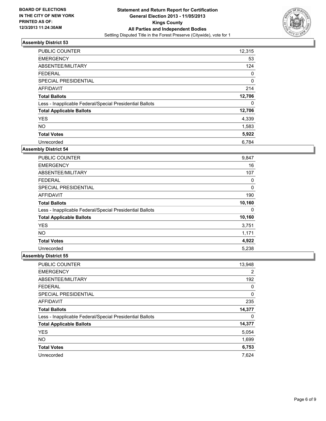

| <b>PUBLIC COUNTER</b>                                    | 12,315      |
|----------------------------------------------------------|-------------|
| <b>EMERGENCY</b>                                         | 53          |
| ABSENTEE/MILITARY                                        | 124         |
| <b>FEDERAL</b>                                           | 0           |
| SPECIAL PRESIDENTIAL                                     | $\mathbf 0$ |
| <b>AFFIDAVIT</b>                                         | 214         |
| <b>Total Ballots</b>                                     | 12,706      |
| Less - Inapplicable Federal/Special Presidential Ballots | 0           |
| <b>Total Applicable Ballots</b>                          | 12,706      |
| <b>YES</b>                                               | 4,339       |
| <b>NO</b>                                                | 1,583       |
| <b>Total Votes</b>                                       | 5,922       |
| Unrecorded                                               | 6.784       |

### **Assembly District 54**

| PUBLIC COUNTER                                           | 9,847  |
|----------------------------------------------------------|--------|
| <b>EMERGENCY</b>                                         | 16     |
| ABSENTEE/MILITARY                                        | 107    |
| <b>FEDERAL</b>                                           | 0      |
| <b>SPECIAL PRESIDENTIAL</b>                              | 0      |
| AFFIDAVIT                                                | 190    |
| <b>Total Ballots</b>                                     | 10,160 |
| Less - Inapplicable Federal/Special Presidential Ballots | 0      |
| <b>Total Applicable Ballots</b>                          | 10,160 |
| <b>YES</b>                                               | 3,751  |
| <b>NO</b>                                                | 1,171  |
| <b>Total Votes</b>                                       | 4,922  |
| Unrecorded                                               | 5,238  |

| <b>PUBLIC COUNTER</b>                                    | 13,948 |
|----------------------------------------------------------|--------|
| <b>EMERGENCY</b>                                         | 2      |
| ABSENTEE/MILITARY                                        | 192    |
| <b>FEDERAL</b>                                           | 0      |
| SPECIAL PRESIDENTIAL                                     | 0      |
| <b>AFFIDAVIT</b>                                         | 235    |
| <b>Total Ballots</b>                                     | 14,377 |
| Less - Inapplicable Federal/Special Presidential Ballots | 0      |
| <b>Total Applicable Ballots</b>                          | 14,377 |
| <b>YES</b>                                               | 5,054  |
| <b>NO</b>                                                | 1,699  |
| <b>Total Votes</b>                                       | 6,753  |
| Unrecorded                                               | 7,624  |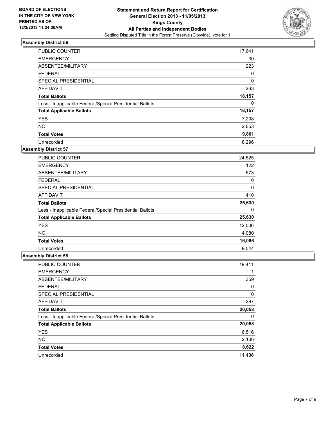

| <b>PUBLIC COUNTER</b>                                    | 17,641      |
|----------------------------------------------------------|-------------|
| <b>EMERGENCY</b>                                         | 30          |
| ABSENTEE/MILITARY                                        | 223         |
| <b>FEDERAL</b>                                           | 0           |
| SPECIAL PRESIDENTIAL                                     | $\mathbf 0$ |
| <b>AFFIDAVIT</b>                                         | 263         |
| <b>Total Ballots</b>                                     | 18,157      |
| Less - Inapplicable Federal/Special Presidential Ballots | 0           |
| <b>Total Applicable Ballots</b>                          | 18,157      |
| <b>YES</b>                                               | 7,208       |
| <b>NO</b>                                                | 2,653       |
| <b>Total Votes</b>                                       | 9,861       |
| Unrecorded                                               | 8,296       |

### **Assembly District 57**

| <b>PUBLIC COUNTER</b>                                    | 24,525 |
|----------------------------------------------------------|--------|
| <b>EMERGENCY</b>                                         | 122    |
| ABSENTEE/MILITARY                                        | 573    |
| <b>FEDERAL</b>                                           | 0      |
| <b>SPECIAL PRESIDENTIAL</b>                              | 0      |
| AFFIDAVIT                                                | 410    |
| <b>Total Ballots</b>                                     | 25,630 |
| Less - Inapplicable Federal/Special Presidential Ballots | 0      |
| <b>Total Applicable Ballots</b>                          | 25,630 |
| <b>YES</b>                                               | 12,006 |
| <b>NO</b>                                                | 4,080  |
| <b>Total Votes</b>                                       | 16,086 |
| Unrecorded                                               | 9.544  |

| PUBLIC COUNTER                                           | 19,411 |
|----------------------------------------------------------|--------|
| <b>EMERGENCY</b>                                         |        |
| ABSENTEE/MILITARY                                        | 359    |
| <b>FEDERAL</b>                                           | 0      |
| SPECIAL PRESIDENTIAL                                     | 0      |
| <b>AFFIDAVIT</b>                                         | 287    |
| <b>Total Ballots</b>                                     | 20,058 |
| Less - Inapplicable Federal/Special Presidential Ballots | 0      |
| <b>Total Applicable Ballots</b>                          | 20,058 |
| <b>YES</b>                                               | 6,516  |
| <b>NO</b>                                                | 2,106  |
| <b>Total Votes</b>                                       | 8,622  |
| Unrecorded                                               | 11,436 |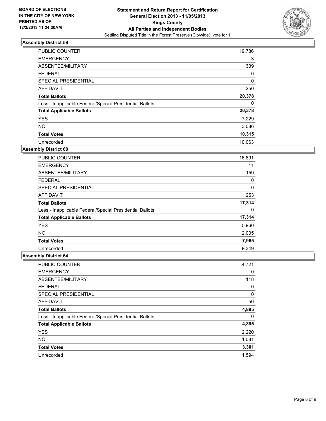

| <b>PUBLIC COUNTER</b>                                    | 19,786   |
|----------------------------------------------------------|----------|
| <b>EMERGENCY</b>                                         | 3        |
| ABSENTEE/MILITARY                                        | 339      |
| <b>FEDERAL</b>                                           | 0        |
| SPECIAL PRESIDENTIAL                                     | $\Omega$ |
| AFFIDAVIT                                                | 250      |
| <b>Total Ballots</b>                                     | 20,378   |
| Less - Inapplicable Federal/Special Presidential Ballots | 0        |
| <b>Total Applicable Ballots</b>                          | 20,378   |
| <b>YES</b>                                               | 7,229    |
| <b>NO</b>                                                | 3,086    |
| <b>Total Votes</b>                                       | 10,315   |
| Unrecorded                                               | 10,063   |

### **Assembly District 60**

| <b>PUBLIC COUNTER</b>                                    | 16,891 |
|----------------------------------------------------------|--------|
| <b>EMERGENCY</b>                                         | 11     |
| ABSENTEE/MILITARY                                        | 159    |
| <b>FEDERAL</b>                                           | 0      |
| <b>SPECIAL PRESIDENTIAL</b>                              | 0      |
| AFFIDAVIT                                                | 253    |
| <b>Total Ballots</b>                                     | 17,314 |
| Less - Inapplicable Federal/Special Presidential Ballots | 0      |
| <b>Total Applicable Ballots</b>                          | 17,314 |
| <b>YES</b>                                               | 5,960  |
| <b>NO</b>                                                | 2,005  |
| <b>Total Votes</b>                                       | 7,965  |
| Unrecorded                                               | 9,349  |

| PUBLIC COUNTER                                           | 4,721 |
|----------------------------------------------------------|-------|
| <b>EMERGENCY</b>                                         | 0     |
| ABSENTEE/MILITARY                                        | 118   |
| <b>FEDERAL</b>                                           | 0     |
| SPECIAL PRESIDENTIAL                                     | 0     |
| <b>AFFIDAVIT</b>                                         | 56    |
| <b>Total Ballots</b>                                     | 4,895 |
| Less - Inapplicable Federal/Special Presidential Ballots | 0     |
| <b>Total Applicable Ballots</b>                          | 4,895 |
| <b>YES</b>                                               | 2,220 |
| <b>NO</b>                                                | 1,081 |
| <b>Total Votes</b>                                       | 3,301 |
| Unrecorded                                               | 1.594 |